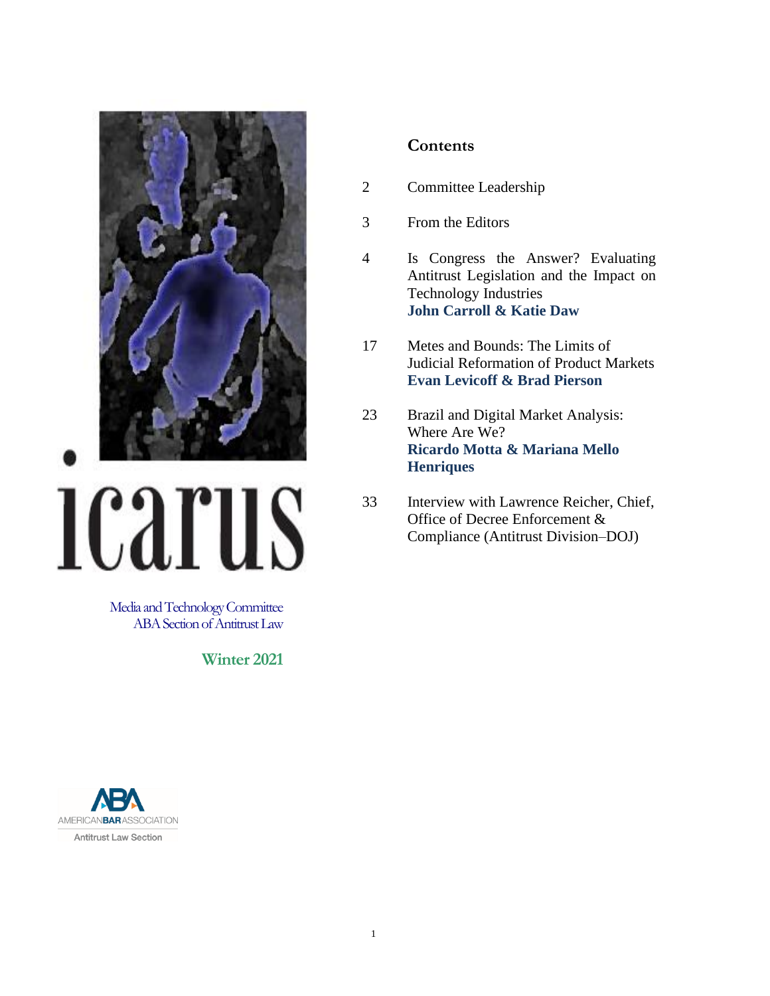

# **ICATUS**

Media and Technology Committee ABA Section of Antitrust Law

**Winter 2021**



# **Contents**

- 2 Committee Leadership
- 3 From the Editors
- 4 Is Congress the Answer? Evaluating Antitrust Legislation and the Impact on Technology Industries **John Carroll & Katie Daw**
- 17 Metes and Bounds: The Limits of Judicial Reformation of Product Markets **Evan Levicoff & Brad Pierson**
- 23 Brazil and Digital Market Analysis: Where Are We? **Ricardo Motta & Mariana Mello Henriques**
- 33 Interview with Lawrence Reicher, Chief, Office of Decree Enforcement & Compliance (Antitrust Division–DOJ)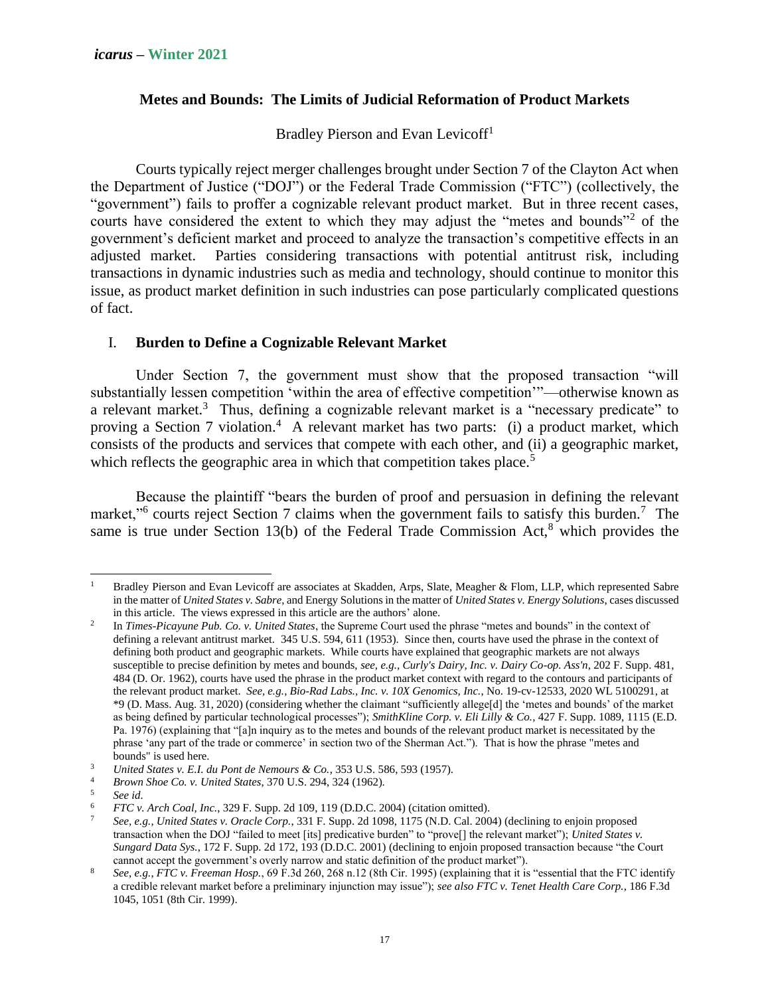### **Metes and Bounds: The Limits of Judicial Reformation of Product Markets**

Bradley Pierson and Evan Levicoff<sup>1</sup>

Courts typically reject merger challenges brought under Section 7 of the Clayton Act when the Department of Justice ("DOJ") or the Federal Trade Commission ("FTC") (collectively, the "government") fails to proffer a cognizable relevant product market. But in three recent cases, courts have considered the extent to which they may adjust the "metes and bounds"<sup>2</sup> of the government's deficient market and proceed to analyze the transaction's competitive effects in an adjusted market. Parties considering transactions with potential antitrust risk, including transactions in dynamic industries such as media and technology, should continue to monitor this issue, as product market definition in such industries can pose particularly complicated questions of fact.

## I. **Burden to Define a Cognizable Relevant Market**

Under Section 7, the government must show that the proposed transaction "will substantially lessen competition 'within the area of effective competition'"—otherwise known as a relevant market.<sup>3</sup> Thus, defining a cognizable relevant market is a "necessary predicate" to proving a Section 7 violation.<sup>4</sup> A relevant market has two parts: (i) a product market, which consists of the products and services that compete with each other, and (ii) a geographic market, which reflects the geographic area in which that competition takes place.<sup>5</sup>

Because the plaintiff "bears the burden of proof and persuasion in defining the relevant market,"<sup>6</sup> courts reject Section 7 claims when the government fails to satisfy this burden.<sup>7</sup> The same is true under Section 13(b) of the Federal Trade Commission  $Act<sup>8</sup>$  which provides the

Bradley Pierson and Evan Levicoff are associates at Skadden, Arps, Slate, Meagher & Flom, LLP, which represented Sabre in the matter of *United States v. Sabre*, and Energy Solutions in the matter of *United States v. Energy Solutions*, cases discussed in this article. The views expressed in this article are the authors' alone.

<sup>2</sup> In *Times-Picayune Pub. Co. v. United States*, the Supreme Court used the phrase "metes and bounds" in the context of defining a relevant antitrust market. 345 U.S. 594, 611 (1953). Since then, courts have used the phrase in the context of defining both product and geographic markets. While courts have explained that geographic markets are not always susceptible to precise definition by metes and bounds, *see, e.g., Curly's Dairy, Inc. v. Dairy Co-op. Ass'n*, 202 F. Supp. 481, 484 (D. Or. 1962), courts have used the phrase in the product market context with regard to the contours and participants of the relevant product market. *See, e.g.*, *Bio-Rad Labs., Inc. v. 10X Genomics, Inc.*, No. 19-cv-12533, 2020 WL 5100291, at \*9 (D. Mass. Aug. 31, 2020) (considering whether the claimant "sufficiently allege[d] the 'metes and bounds' of the market as being defined by particular technological processes"); *SmithKline Corp. v. Eli Lilly & Co.*, 427 F. Supp. 1089, 1115 (E.D. Pa. 1976) (explaining that "[a]n inquiry as to the metes and bounds of the relevant product market is necessitated by the phrase 'any part of the trade or commerce' in section two of the Sherman Act."). That is how the phrase "metes and bounds" is used here.

<sup>3</sup> *United States v. E.I. du Pont de Nemours & Co.*, 353 U.S. 586, 593 (1957).

<sup>4</sup> *Brown Shoe Co. v. United States*, 370 U.S. 294, 324 (1962).

 $5$  *See id.*<br>6 *FTC v* 

<sup>6</sup> *FTC v. Arch Coal, Inc.*, 329 F. Supp. 2d 109, 119 (D.D.C. 2004) (citation omitted).

<sup>7</sup> *See, e.g.*, *United States v. Oracle Corp.*, 331 F. Supp. 2d 1098, 1175 (N.D. Cal. 2004) (declining to enjoin proposed transaction when the DOJ "failed to meet [its] predicative burden" to "prove[] the relevant market"); *United States v. Sungard Data Sys.*, 172 F. Supp. 2d 172, 193 (D.D.C. 2001) (declining to enjoin proposed transaction because "the Court cannot accept the government's overly narrow and static definition of the product market").

<sup>8</sup> *See, e.g.*, *FTC v. Freeman Hosp.*, 69 F.3d 260, 268 n.12 (8th Cir. 1995) (explaining that it is "essential that the FTC identify a credible relevant market before a preliminary injunction may issue"); *see also FTC v. Tenet Health Care Corp.*, 186 F.3d 1045, 1051 (8th Cir. 1999).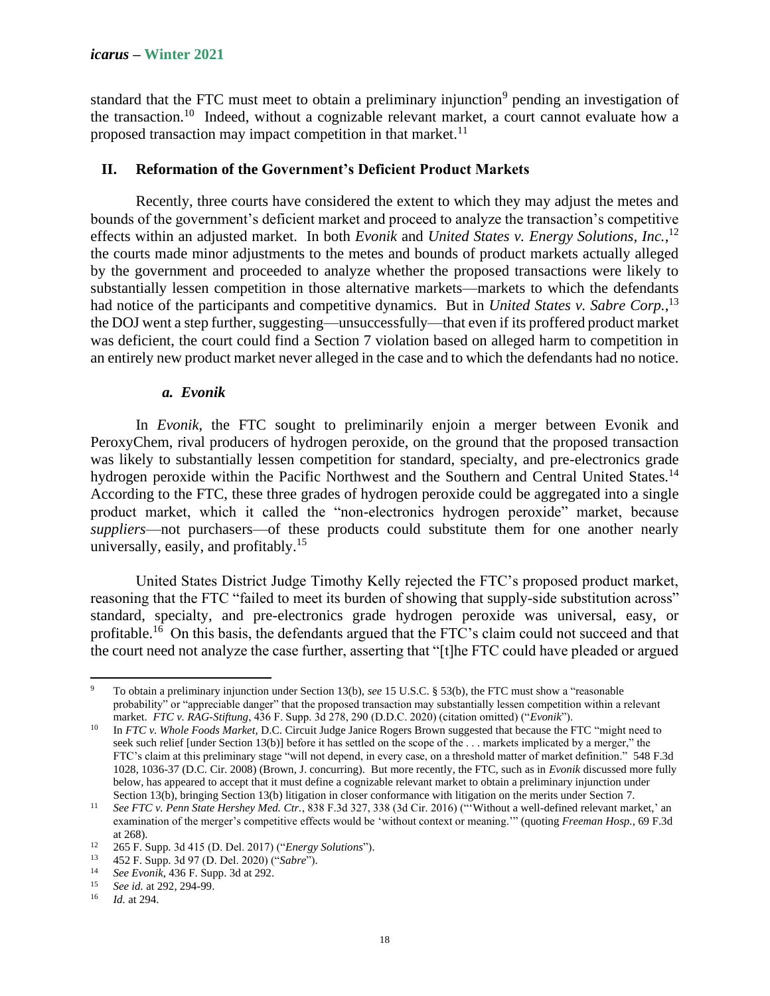standard that the FTC must meet to obtain a preliminary injunction<sup>9</sup> pending an investigation of the transaction.<sup>10</sup> Indeed, without a cognizable relevant market, a court cannot evaluate how a proposed transaction may impact competition in that market. $^{11}$ 

### **II. Reformation of the Government's Deficient Product Markets**

Recently, three courts have considered the extent to which they may adjust the metes and bounds of the government's deficient market and proceed to analyze the transaction's competitive effects within an adjusted market. In both *Evonik* and *United States v. Energy Solutions, Inc.*, 12 the courts made minor adjustments to the metes and bounds of product markets actually alleged by the government and proceeded to analyze whether the proposed transactions were likely to substantially lessen competition in those alternative markets—markets to which the defendants had notice of the participants and competitive dynamics. But in *United States v. Sabre Corp.*,<sup>13</sup> the DOJ went a step further, suggesting—unsuccessfully—that even if its proffered product market was deficient, the court could find a Section 7 violation based on alleged harm to competition in an entirely new product market never alleged in the case and to which the defendants had no notice.

### *a. Evonik*

In *Evonik*, the FTC sought to preliminarily enjoin a merger between Evonik and PeroxyChem, rival producers of hydrogen peroxide, on the ground that the proposed transaction was likely to substantially lessen competition for standard, specialty, and pre-electronics grade hydrogen peroxide within the Pacific Northwest and the Southern and Central United States.<sup>14</sup> According to the FTC, these three grades of hydrogen peroxide could be aggregated into a single product market, which it called the "non-electronics hydrogen peroxide" market, because *suppliers*—not purchasers—of these products could substitute them for one another nearly universally, easily, and profitably.<sup>15</sup>

United States District Judge Timothy Kelly rejected the FTC's proposed product market, reasoning that the FTC "failed to meet its burden of showing that supply-side substitution across" standard, specialty, and pre-electronics grade hydrogen peroxide was universal, easy, or profitable.<sup>16</sup> On this basis, the defendants argued that the FTC's claim could not succeed and that the court need not analyze the case further, asserting that "[t]he FTC could have pleaded or argued

<sup>9</sup> To obtain a preliminary injunction under Section 13(b), *see* 15 U.S.C. § 53(b), the FTC must show a "reasonable probability" or "appreciable danger" that the proposed transaction may substantially lessen competition within a relevant market. *FTC v. RAG-Stiftung*, 436 F. Supp. 3d 278, 290 (D.D.C. 2020) (citation omitted) ("*Evonik*").

<sup>10</sup> In *FTC v. Whole Foods Market*, D.C. Circuit Judge Janice Rogers Brown suggested that because the FTC "might need to seek such relief [under Section 13(b)] before it has settled on the scope of the . . . markets implicated by a merger," the FTC's claim at this preliminary stage "will not depend, in every case, on a threshold matter of market definition." 548 F.3d 1028, 1036-37 (D.C. Cir. 2008) (Brown, J. concurring). But more recently, the FTC, such as in *Evonik* discussed more fully below, has appeared to accept that it must define a cognizable relevant market to obtain a preliminary injunction under Section 13(b), bringing Section 13(b) litigation in closer conformance with litigation on the merits under Section 7.

<sup>11</sup> *See FTC v. Penn State Hershey Med. Ctr.*, 838 F.3d 327, 338 (3d Cir. 2016) ("'Without a well-defined relevant market,' an examination of the merger's competitive effects would be 'without context or meaning.'" (quoting *Freeman Hosp.*, 69 F.3d at 268).

<sup>12</sup> 265 F. Supp. 3d 415 (D. Del. 2017) ("*Energy Solutions*").

<sup>13</sup> 452 F. Supp. 3d 97 (D. Del. 2020) ("*Sabre*").

<sup>&</sup>lt;sup>14</sup> *See Evonik*, 436 F. Supp. 3d at 292.<br><sup>15</sup> Sec id. at 202, 204, 90

<sup>&</sup>lt;sup>15</sup> *See id.* at 292, 294-99.

<sup>16</sup> *Id.* at 294.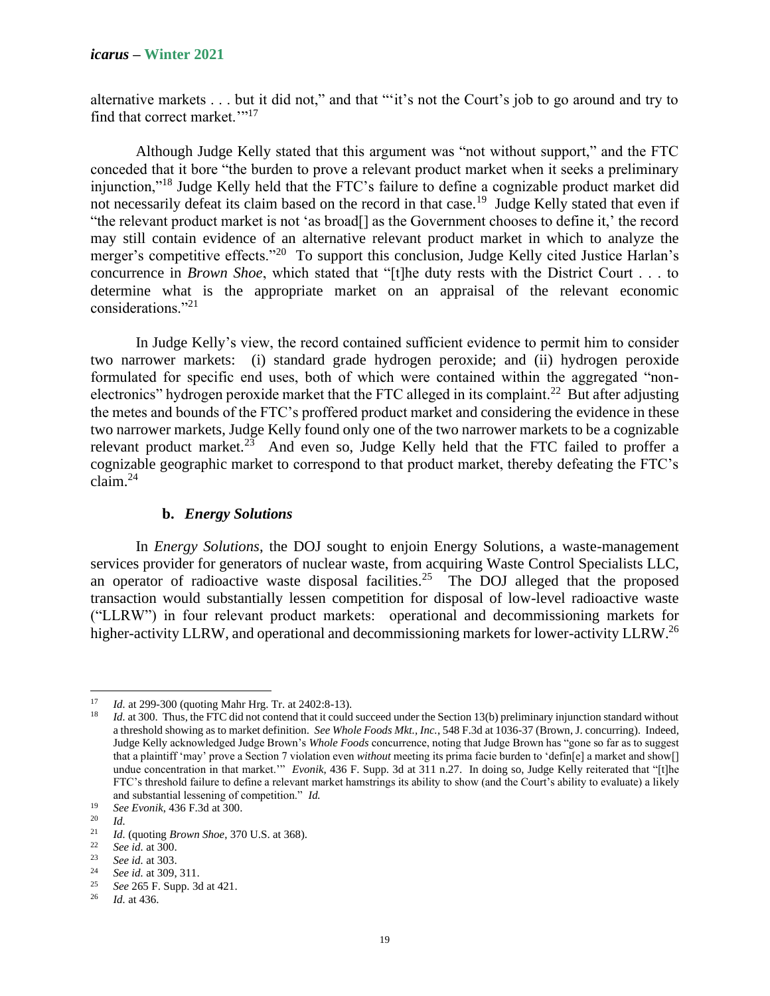alternative markets . . . but it did not," and that "'it's not the Court's job to go around and try to find that correct market.""<sup>17</sup>

Although Judge Kelly stated that this argument was "not without support," and the FTC conceded that it bore "the burden to prove a relevant product market when it seeks a preliminary injunction,"<sup>18</sup> Judge Kelly held that the FTC's failure to define a cognizable product market did not necessarily defeat its claim based on the record in that case.<sup>19</sup> Judge Kelly stated that even if "the relevant product market is not 'as broad[] as the Government chooses to define it,' the record may still contain evidence of an alternative relevant product market in which to analyze the merger's competitive effects."<sup>20</sup> To support this conclusion, Judge Kelly cited Justice Harlan's concurrence in *Brown Shoe*, which stated that "[t]he duty rests with the District Court . . . to determine what is the appropriate market on an appraisal of the relevant economic considerations."<sup>21</sup>

In Judge Kelly's view, the record contained sufficient evidence to permit him to consider two narrower markets: (i) standard grade hydrogen peroxide; and (ii) hydrogen peroxide formulated for specific end uses, both of which were contained within the aggregated "nonelectronics" hydrogen peroxide market that the FTC alleged in its complaint.<sup>22</sup> But after adjusting the metes and bounds of the FTC's proffered product market and considering the evidence in these two narrower markets, Judge Kelly found only one of the two narrower markets to be a cognizable relevant product market.<sup>23</sup> And even so, Judge Kelly held that the FTC failed to proffer a cognizable geographic market to correspond to that product market, thereby defeating the FTC's claim.<sup>24</sup>

### **b.** *Energy Solutions*

In *Energy Solutions*, the DOJ sought to enjoin Energy Solutions, a waste-management services provider for generators of nuclear waste, from acquiring Waste Control Specialists LLC, an operator of radioactive waste disposal facilities.<sup>25</sup> The DOJ alleged that the proposed transaction would substantially lessen competition for disposal of low-level radioactive waste ("LLRW") in four relevant product markets: operational and decommissioning markets for higher-activity LLRW, and operational and decommissioning markets for lower-activity LLRW.<sup>26</sup>

<sup>17</sup> *Id.* at 299-300 (quoting Mahr Hrg. Tr. at 2402:8-13).

<sup>&</sup>lt;sup>18</sup> *Id.* at 300. Thus, the FTC did not contend that it could succeed under the Section 13(b) preliminary injunction standard without a threshold showing as to market definition. *See Whole Foods Mkt., Inc.*, 548 F.3d at 1036-37 (Brown, J. concurring). Indeed, Judge Kelly acknowledged Judge Brown's *Whole Foods* concurrence, noting that Judge Brown has "gone so far as to suggest that a plaintiff 'may' prove a Section 7 violation even *without* meeting its prima facie burden to 'defin[e] a market and show[] undue concentration in that market." *Evonik*, 436 F. Supp. 3d at 311 n.27. In doing so, Judge Kelly reiterated that "[t]he FTC's threshold failure to define a relevant market hamstrings its ability to show (and the Court's ability to evaluate) a likely and substantial lessening of competition." *Id.*

<sup>19</sup> *See Evonik*, 436 F.3d at 300.

 $\frac{20}{21}$  *Id.* 

<sup>21</sup> *Id.* (quoting *Brown Shoe*, 370 U.S. at 368).

<sup>22</sup> *See id.* at 300.

<sup>23</sup> *See id.* at 303.

<sup>&</sup>lt;sup>24</sup> *See id.* at 309, 311.

<sup>&</sup>lt;sup>25</sup> *See* 265 F. Supp. 3d at 421.

*Id.* at 436.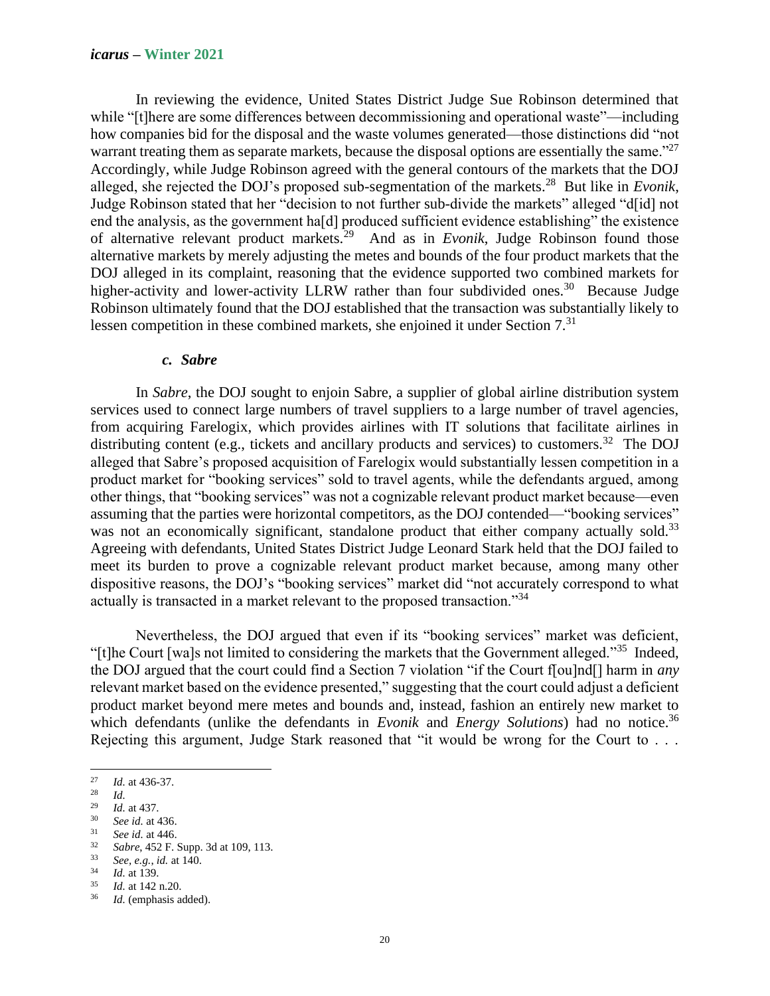In reviewing the evidence, United States District Judge Sue Robinson determined that while "[t]here are some differences between decommissioning and operational waste"—including how companies bid for the disposal and the waste volumes generated—those distinctions did "not warrant treating them as separate markets, because the disposal options are essentially the same."<sup>27</sup> Accordingly, while Judge Robinson agreed with the general contours of the markets that the DOJ alleged, she rejected the DOJ's proposed sub-segmentation of the markets.<sup>28</sup> But like in *Evonik*, Judge Robinson stated that her "decision to not further sub-divide the markets" alleged "d[id] not end the analysis, as the government ha[d] produced sufficient evidence establishing" the existence of alternative relevant product markets.<sup>29</sup> And as in *Evonik*, Judge Robinson found those alternative markets by merely adjusting the metes and bounds of the four product markets that the DOJ alleged in its complaint, reasoning that the evidence supported two combined markets for higher-activity and lower-activity LLRW rather than four subdivided ones.<sup>30</sup> Because Judge Robinson ultimately found that the DOJ established that the transaction was substantially likely to lessen competition in these combined markets, she enjoined it under Section 7.<sup>31</sup>

### *c. Sabre*

In *Sabre*, the DOJ sought to enjoin Sabre, a supplier of global airline distribution system services used to connect large numbers of travel suppliers to a large number of travel agencies, from acquiring Farelogix, which provides airlines with IT solutions that facilitate airlines in distributing content (e.g., tickets and ancillary products and services) to customers.<sup>32</sup> The DOJ alleged that Sabre's proposed acquisition of Farelogix would substantially lessen competition in a product market for "booking services" sold to travel agents, while the defendants argued, among other things, that "booking services" was not a cognizable relevant product market because—even assuming that the parties were horizontal competitors, as the DOJ contended—"booking services" was not an economically significant, standalone product that either company actually sold.<sup>33</sup> Agreeing with defendants, United States District Judge Leonard Stark held that the DOJ failed to meet its burden to prove a cognizable relevant product market because, among many other dispositive reasons, the DOJ's "booking services" market did "not accurately correspond to what actually is transacted in a market relevant to the proposed transaction."34

Nevertheless, the DOJ argued that even if its "booking services" market was deficient, "[t]he Court [wa]s not limited to considering the markets that the Government alleged."<sup>35</sup> Indeed, the DOJ argued that the court could find a Section 7 violation "if the Court f[ou]nd[] harm in *any*  relevant market based on the evidence presented," suggesting that the court could adjust a deficient product market beyond mere metes and bounds and, instead, fashion an entirely new market to which defendants (unlike the defendants in *Evonik* and *Energy Solutions*) had no notice.<sup>36</sup> Rejecting this argument, Judge Stark reasoned that "it would be wrong for the Court to . . .

 $\frac{27}{28}$  *Id.* at 436-37.

 $rac{28}{29}$  *Id.* 

 $\frac{29}{30}$  *Id.* at 437.

 $30$  *See id.* at 436.<br> $31$  *See id.* at 446

 $\frac{31}{32}$  *See id.* at 446.

<sup>32</sup> *Sabre*, 452 F. Supp. 3d at 109, 113.

<sup>33</sup> *See, e.g.*, *id.* at 140.

 $\frac{34}{35}$  *Id.* at 139.

 $\frac{35}{36}$  *Id.* at 142 n.20.

Id. (emphasis added).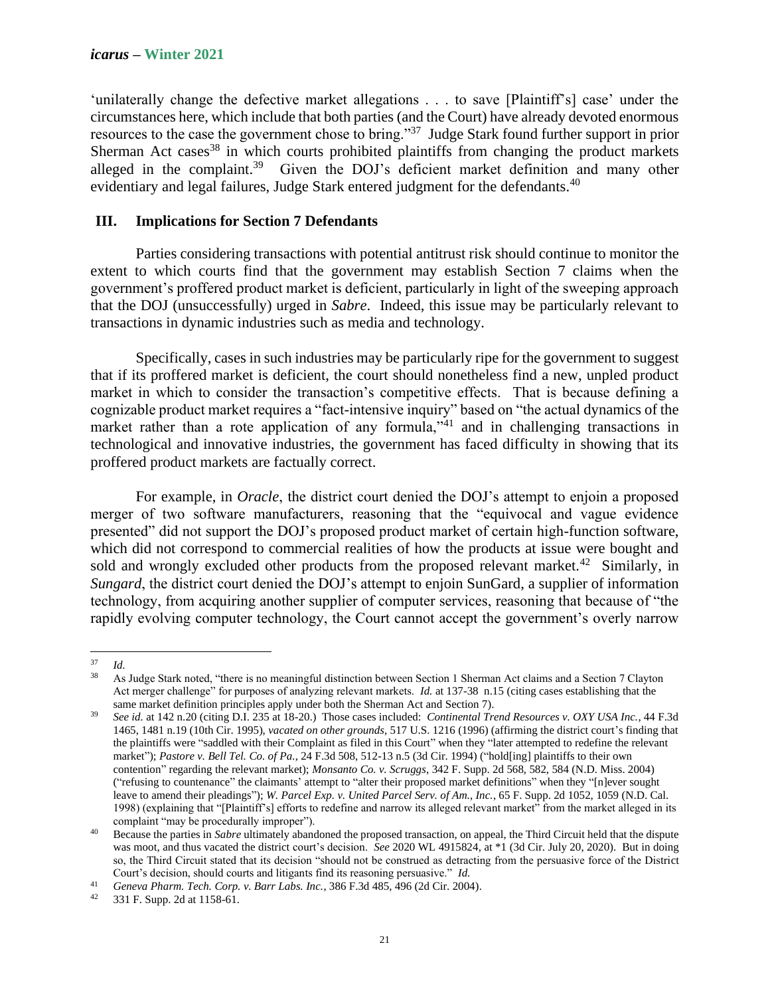'unilaterally change the defective market allegations . . . to save [Plaintiff's] case' under the circumstances here, which include that both parties (and the Court) have already devoted enormous resources to the case the government chose to bring."<sup>37</sup> Judge Stark found further support in prior Sherman Act cases<sup>38</sup> in which courts prohibited plaintiffs from changing the product markets alleged in the complaint.<sup>39</sup> Given the DOJ's deficient market definition and many other evidentiary and legal failures, Judge Stark entered judgment for the defendants.<sup>40</sup>

### **III. Implications for Section 7 Defendants**

Parties considering transactions with potential antitrust risk should continue to monitor the extent to which courts find that the government may establish Section 7 claims when the government's proffered product market is deficient, particularly in light of the sweeping approach that the DOJ (unsuccessfully) urged in *Sabre*. Indeed, this issue may be particularly relevant to transactions in dynamic industries such as media and technology.

Specifically, cases in such industries may be particularly ripe for the government to suggest that if its proffered market is deficient, the court should nonetheless find a new, unpled product market in which to consider the transaction's competitive effects. That is because defining a cognizable product market requires a "fact-intensive inquiry" based on "the actual dynamics of the market rather than a rote application of any formula,<sup>341</sup> and in challenging transactions in technological and innovative industries, the government has faced difficulty in showing that its proffered product markets are factually correct.

For example, in *Oracle*, the district court denied the DOJ's attempt to enjoin a proposed merger of two software manufacturers, reasoning that the "equivocal and vague evidence presented" did not support the DOJ's proposed product market of certain high-function software, which did not correspond to commercial realities of how the products at issue were bought and sold and wrongly excluded other products from the proposed relevant market.<sup>42</sup> Similarly, in *Sungard*, the district court denied the DOJ's attempt to enjoin SunGard, a supplier of information technology, from acquiring another supplier of computer services, reasoning that because of "the rapidly evolving computer technology, the Court cannot accept the government's overly narrow

 $rac{37}{38}$  *Id.* 

<sup>38</sup> As Judge Stark noted, "there is no meaningful distinction between Section 1 Sherman Act claims and a Section 7 Clayton Act merger challenge" for purposes of analyzing relevant markets. *Id.* at 137-38 n.15 (citing cases establishing that the same market definition principles apply under both the Sherman Act and Section 7).

<sup>39</sup> *See id.* at 142 n.20 (citing D.I. 235 at 18-20.) Those cases included: *Continental Trend Resources v. OXY USA Inc.*, 44 F.3d 1465, 1481 n.19 (10th Cir. 1995), *vacated on other grounds*, 517 U.S. 1216 (1996) (affirming the district court's finding that the plaintiffs were "saddled with their Complaint as filed in this Court" when they "later attempted to redefine the relevant market"); *Pastore v. Bell Tel. Co. of Pa.*, 24 F.3d 508, 512-13 n.5 (3d Cir. 1994) ("hold[ing] plaintiffs to their own contention" regarding the relevant market); *Monsanto Co. v. Scruggs*, 342 F. Supp. 2d 568, 582, 584 (N.D. Miss. 2004) ("refusing to countenance" the claimants' attempt to "alter their proposed market definitions" when they "[n]ever sought leave to amend their pleadings"); *W. Parcel Exp. v. United Parcel Serv. of Am., Inc.*, 65 F. Supp. 2d 1052, 1059 (N.D. Cal. 1998) (explaining that "[Plaintiff's] efforts to redefine and narrow its alleged relevant market" from the market alleged in its complaint "may be procedurally improper").

<sup>40</sup> Because the parties in *Sabre* ultimately abandoned the proposed transaction, on appeal, the Third Circuit held that the dispute was moot, and thus vacated the district court's decision. *See* 2020 WL 4915824, at \*1 (3d Cir. July 20, 2020). But in doing so, the Third Circuit stated that its decision "should not be construed as detracting from the persuasive force of the District Court's decision, should courts and litigants find its reasoning persuasive." *Id.*

<sup>41</sup> *Geneva Pharm. Tech. Corp. v. Barr Labs. Inc.*, 386 F.3d 485, 496 (2d Cir. 2004).

<sup>331</sup> F. Supp. 2d at 1158-61.